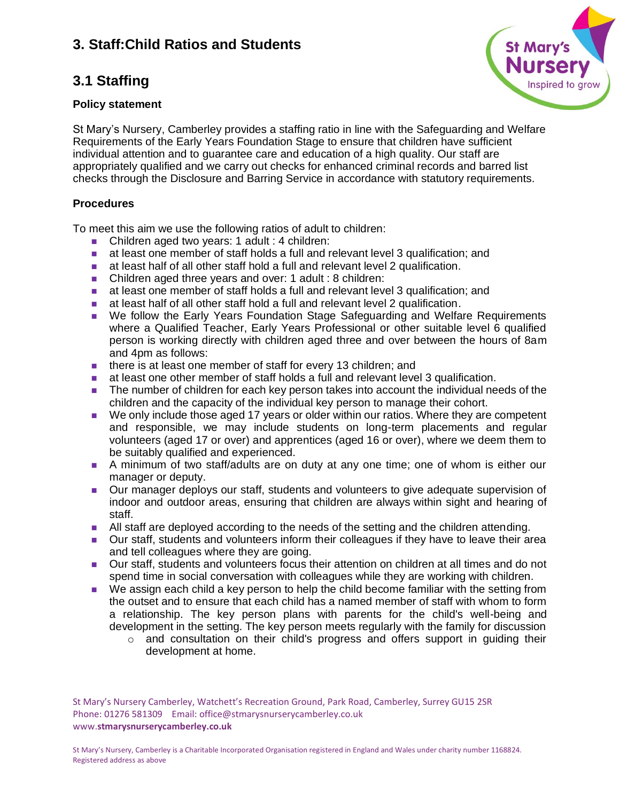## **3.1 Staffing**

#### **Policy statement**



St Mary's Nursery, Camberley provides a staffing ratio in line with the Safeguarding and Welfare Requirements of the Early Years Foundation Stage to ensure that children have sufficient individual attention and to guarantee care and education of a high quality. Our staff are appropriately qualified and we carry out checks for enhanced criminal records and barred list checks through the Disclosure and Barring Service in accordance with statutory requirements.

### **Procedures**

To meet this aim we use the following ratios of adult to children:

- Children aged two years: 1 adult : 4 children:
- at least one member of staff holds a full and relevant level 3 qualification; and
- at least half of all other staff hold a full and relevant level 2 qualification.
- Children aged three years and over: 1 adult : 8 children:
- at least one member of staff holds a full and relevant level 3 qualification; and
- at least half of all other staff hold a full and relevant level 2 qualification.
- We follow the Early Years Foundation Stage Safeguarding and Welfare Requirements where a Qualified Teacher, Early Years Professional or other suitable level 6 qualified person is working directly with children aged three and over between the hours of 8am and 4pm as follows:
- there is at least one member of staff for every 13 children; and
- at least one other member of staff holds a full and relevant level 3 qualification.
- The number of children for each key person takes into account the individual needs of the children and the capacity of the individual key person to manage their cohort.
- We only include those aged 17 years or older within our ratios. Where they are competent and responsible, we may include students on long-term placements and regular volunteers (aged 17 or over) and apprentices (aged 16 or over), where we deem them to be suitably qualified and experienced.
- A minimum of two staff/adults are on duty at any one time; one of whom is either our manager or deputy.
- Our manager deploys our staff, students and volunteers to give adequate supervision of indoor and outdoor areas, ensuring that children are always within sight and hearing of staff.
- All staff are deployed according to the needs of the setting and the children attending.
- Our staff, students and volunteers inform their colleagues if they have to leave their area and tell colleagues where they are going.
- Our staff, students and volunteers focus their attention on children at all times and do not spend time in social conversation with colleagues while they are working with children.
- We assign each child a key person to help the child become familiar with the setting from the outset and to ensure that each child has a named member of staff with whom to form a relationship. The key person plans with parents for the child's well-being and development in the setting. The key person meets regularly with the family for discussion
	- $\circ$  and consultation on their child's progress and offers support in guiding their development at home.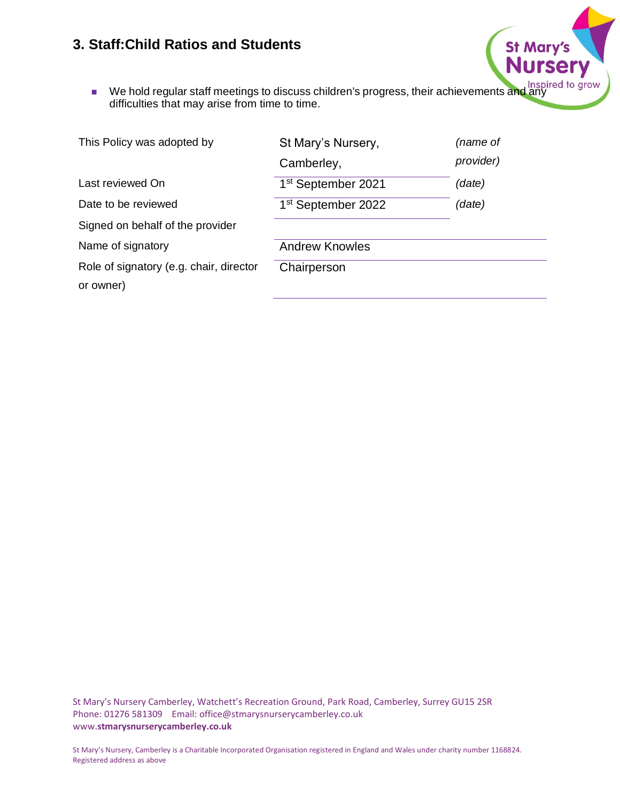■ We hold regular staff meetings to discuss children's progress, their achievements and any<br>difficulties that may arise from time to time. difficulties that may arise from time to time.

St Mary's

| This Policy was adopted by                           | St Mary's Nursery,             | (name of  |
|------------------------------------------------------|--------------------------------|-----------|
|                                                      | Camberley,                     | provider) |
| Last reviewed On                                     | 1 <sup>st</sup> September 2021 | (date)    |
| Date to be reviewed                                  | 1 <sup>st</sup> September 2022 | (date)    |
| Signed on behalf of the provider                     |                                |           |
| Name of signatory                                    | <b>Andrew Knowles</b>          |           |
| Role of signatory (e.g. chair, director<br>or owner) | Chairperson                    |           |
|                                                      |                                |           |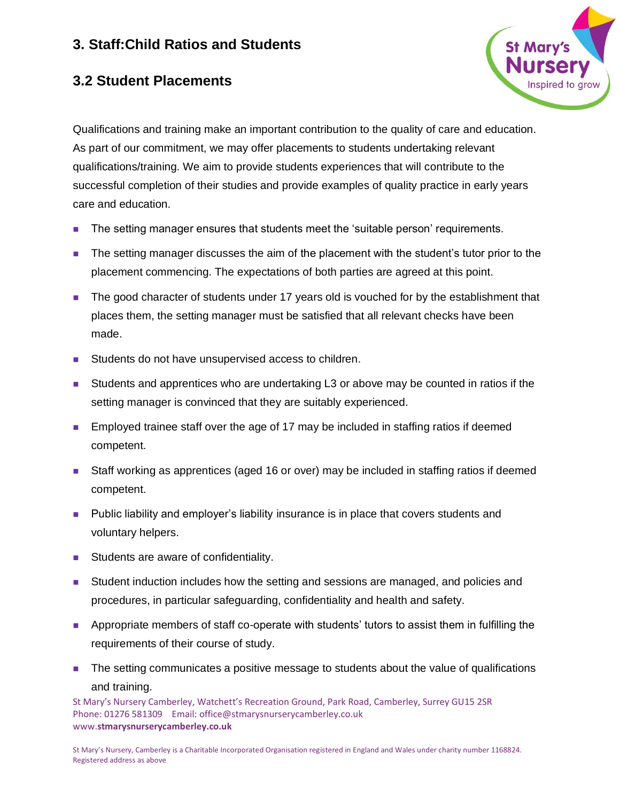

## **3.2 Student Placements**

Qualifications and training make an important contribution to the quality of care and education. As part of our commitment, we may offer placements to students undertaking relevant qualifications/training. We aim to provide students experiences that will contribute to the successful completion of their studies and provide examples of quality practice in early years care and education.

- The setting manager ensures that students meet the 'suitable person' requirements.
- The setting manager discusses the aim of the placement with the student's tutor prior to the placement commencing. The expectations of both parties are agreed at this point.
- The good character of students under 17 years old is vouched for by the establishment that places them, the setting manager must be satisfied that all relevant checks have been made.
- Students do not have unsupervised access to children.
- Students and apprentices who are undertaking L3 or above may be counted in ratios if the setting manager is convinced that they are suitably experienced.
- Employed trainee staff over the age of 17 may be included in staffing ratios if deemed competent.
- Staff working as apprentices (aged 16 or over) may be included in staffing ratios if deemed competent.
- Public liability and employer's liability insurance is in place that covers students and voluntary helpers.
- Students are aware of confidentiality.
- Student induction includes how the setting and sessions are managed, and policies and procedures, in particular safeguarding, confidentiality and health and safety.
- Appropriate members of staff co-operate with students' tutors to assist them in fulfilling the requirements of their course of study.
- The setting communicates a positive message to students about the value of qualifications and training.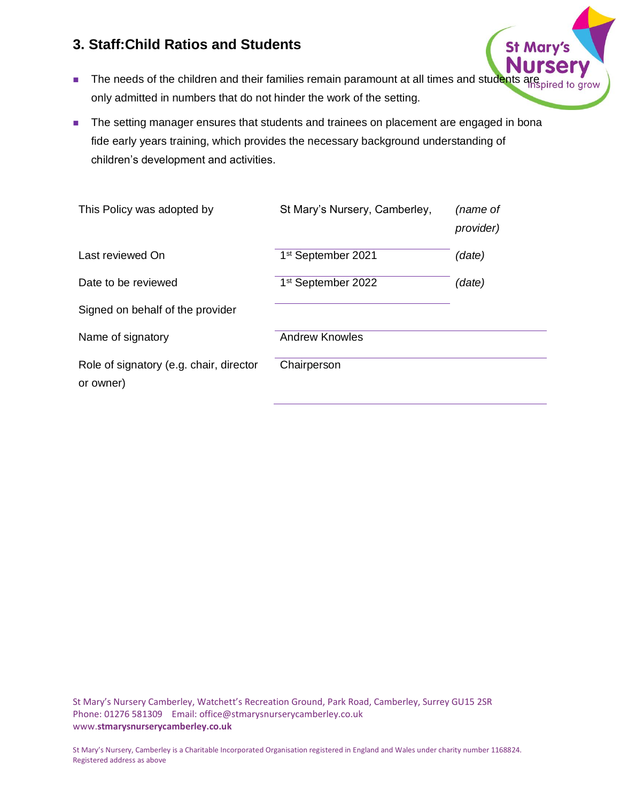- The needs of the children and their families remain paramount at all times and students are only admitted in numbers that do not hinder the work of the setting.
- The setting manager ensures that students and trainees on placement are engaged in bona fide early years training, which provides the necessary background understanding of children's development and activities.

| St Mary's Nursery, Camberley,  | (name of<br>provider) |
|--------------------------------|-----------------------|
| 1 <sup>st</sup> September 2021 | (date)                |
| 1 <sup>st</sup> September 2022 | (data)                |
|                                |                       |
| <b>Andrew Knowles</b>          |                       |
| Chairperson                    |                       |
|                                |                       |